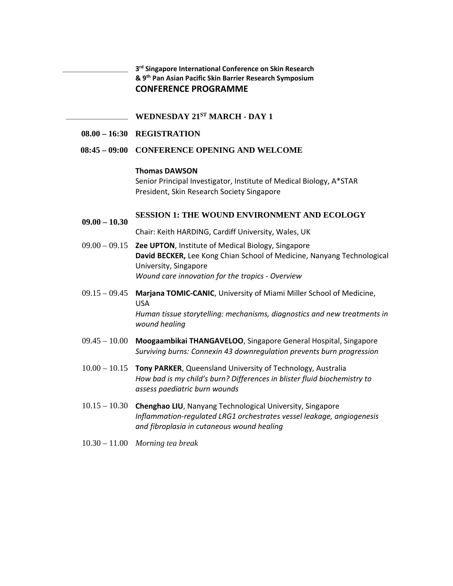**3rd Singapore International Conference on Skin Research & 9th Pan Asian Pacific Skin Barrier Research Symposium CONFERENCE PROGRAMME**

**WEDNESDAY 21ST MARCH - DAY 1** 

**08.00 – 16:30 REGISTRATION** 

#### **08:45 – 09:00 CONFERENCE OPENING AND WELCOME**

#### **Thomas DAWSON**

Senior Principal Investigator, Institute of Medical Biology, A\*STAR President, Skin Research Society Singapore

#### **09.00 – 10.30 SESSION 1: THE WOUND ENVIRONMENT AND ECOLOGY**

Chair: Keith HARDING, Cardiff University, Wales, UK

- 09.00 09.15 **Zee UPTON**, Institute of Medical Biology, Singapore **David BECKER,** Lee Kong Chian School of Medicine, Nanyang Technological University, Singapore *Wound care innovation for the tropics ‐ Overview*
- 09.15 09.45 **Marjana TOMIC‐CANIC**, University of Miami Miller School of Medicine, USA *Human tissue storytelling: mechanisms, diagnostics and new treatments in wound healing*
- 09.45 10.00 **Moogaambikai THANGAVELOO**, Singapore General Hospital, Singapore *Surviving burns: Connexin 43 downregulation prevents burn progression*
- 10.00 10.15 **Tony PARKER**, Queensland University of Technology, Australia *How bad is my child's burn? Differences in blister fluid biochemistry to assess paediatric burn wounds*
- 10.15 10.30 **Chenghao LIU**, Nanyang Technological University, Singapore *Inflammation‐regulated LRG1 orchestrates vessel leakage, angiogenesis and fibroplasia in cutaneous wound healing*
- 10.30 11.00 *Morning tea break*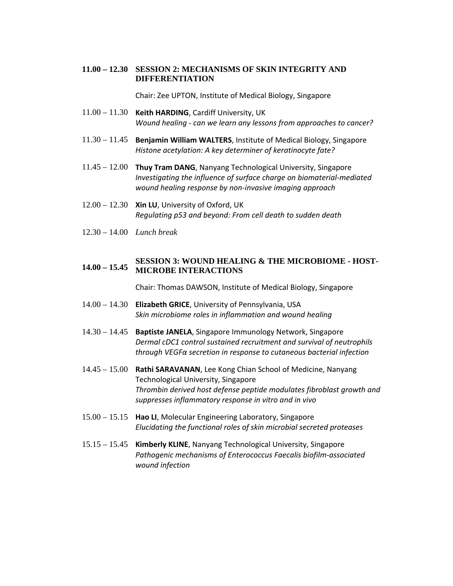### **11.00 – 12.30 SESSION 2: MECHANISMS OF SKIN INTEGRITY AND DIFFERENTIATION**

Chair: Zee UPTON, Institute of Medical Biology, Singapore

- 11.00 11.30 **Keith HARDING**, Cardiff University, UK *Wound healing ‐ can we learn any lessons from approaches to cancer?*
- 11.30 11.45 **Benjamin William WALTERS**, Institute of Medical Biology, Singapore *Histone acetylation: A key determiner of keratinocyte fate?*
- 11.45 12.00 **Thuy Tram DANG**, Nanyang Technological University, Singapore *Investigating the influence of surface charge on biomaterial‐mediated wound healing response by non‐invasive imaging approach*
- 12.00 12.30 **Xin LU**, University of Oxford, UK *Regulating p53 and beyond: From cell death to sudden death*
- 12.30 14.00 *Lunch break*

## **14.00 – 15.45 MICROBE INTERACTIONS SESSION 3: WOUND HEALING & THE MICROBIOME - HOST-**

Chair: Thomas DAWSON, Institute of Medical Biology, Singapore

- 14.00 14.30 **Elizabeth GRICE**, University of Pennsylvania, USA *Skin microbiome roles in inflammation and wound healing*
- 14.30 14.45 **Baptiste JANELA**, Singapore Immunology Network, Singapore *Dermal cDC1 control sustained recruitment and survival of neutrophils through VEGFα secretion in response to cutaneous bacterial infection*
- 14.45 15.00 **Rathi SARAVANAN**, Lee Kong Chian School of Medicine, Nanyang Technological University, Singapore *Thrombin derived host defense peptide modulates fibroblast growth and suppresses inflammatory response in vitro and in vivo*
- 15.00 15.15 **Hao LI**, Molecular Engineering Laboratory, Singapore *Elucidating the functional roles of skin microbial secreted proteases*
- 15.15 15.45 **Kimberly KLINE**, Nanyang Technological University, Singapore *Pathogenic mechanisms of Enterococcus Faecalis biofilm‐associated wound infection*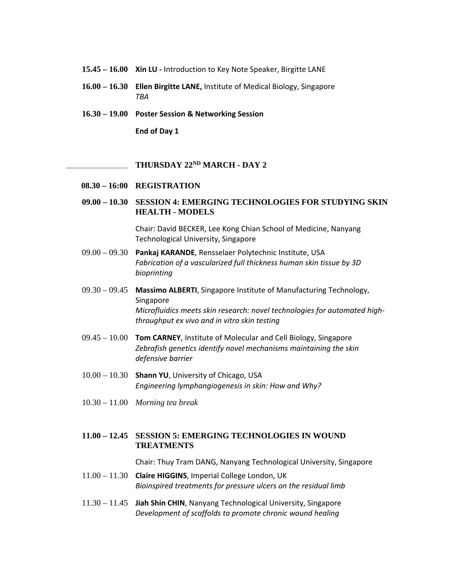- **15.45 16.00 Xin LU ‐** Introduction to Key Note Speaker, Birgitte LANE
- **16.00 16.30 Ellen Birgitte LANE,** Institute of Medical Biology, Singapore *TBA*
- **16.30 19.00 Poster Session & Networking Session**

**End of Day 1**

#### **THURSDAY 22ND MARCH - DAY 2**

- **08.30 16:00 REGISTRATION**
- **09.00 10.30 SESSION 4: EMERGING TECHNOLOGIES FOR STUDYING SKIN HEALTH - MODELS**

Chair: David BECKER, Lee Kong Chian School of Medicine, Nanyang Technological University, Singapore

- 09.00 09.30 **Pankaj KARANDE**, Rensselaer Polytechnic Institute, USA *Fabrication of a vascularized full thickness human skin tissue by 3D bioprinting*
- 09.30 09.45 **Massimo ALBERTI**, Singapore Institute of Manufacturing Technology, Singapore *Microfluidics meets skin research: novel technologies for automated high‐ throughput ex vivo and in vitro skin testing*
- 09.45 10.00 **Tom CARNEY**, Institute of Molecular and Cell Biology, Singapore *Zebrafish genetics identify novel mechanisms maintaining the skin defensive barrier*
- 10.00 10.30 **Shann YU**, University of Chicago, USA *Engineering lymphangiogenesis in skin: How and Why?*
- 10.30 11.00 *Morning tea break*

## **11.00 – 12.45 SESSION 5: EMERGING TECHNOLOGIES IN WOUND TREATMENTS**

Chair: Thuy Tram DANG, Nanyang Technological University, Singapore

- 11.00 11.30 **Claire HIGGINS**, Imperial College London, UK *Bioinspired treatments for pressure ulcers on the residual limb*
- 11.30 11.45 **Jiah Shin CHIN**, Nanyang Technological University, Singapore *Development of scaffolds to promote chronic wound healing*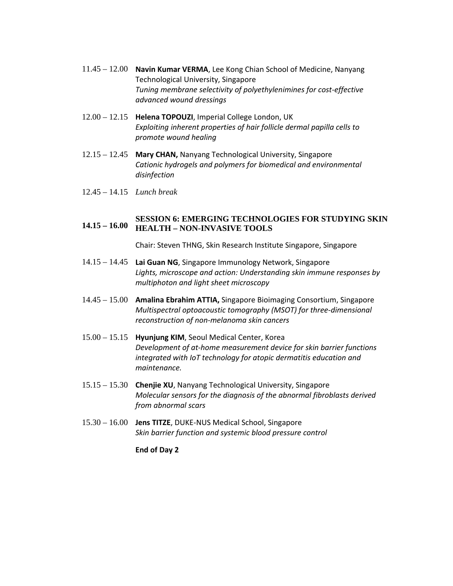- 11.45 12.00 **Navin Kumar VERMA**, Lee Kong Chian School of Medicine, Nanyang Technological University, Singapore *Tuning membrane selectivity of polyethylenimines for cost‐effective advanced wound dressings*
- 12.00 12.15 **Helena TOPOUZI**, Imperial College London, UK *Exploiting inherent properties of hair follicle dermal papilla cells to promote wound healing*
- 12.15 12.45 **Mary CHAN,** Nanyang Technological University, Singapore *Cationic hydrogels and polymers for biomedical and environmental disinfection*
- 12.45 14.15 *Lunch break*

### **14.15 – 16.00 HEALTH – NON-INVASIVE TOOLS SESSION 6: EMERGING TECHNOLOGIES FOR STUDYING SKIN**

Chair: Steven THNG, Skin Research Institute Singapore, Singapore

- 14.15 14.45 **Lai Guan NG**, Singapore Immunology Network, Singapore *Lights, microscope and action: Understanding skin immune responses by multiphoton and light sheet microscopy*
- 14.45 15.00 **Amalina Ebrahim ATTIA,** Singapore Bioimaging Consortium, Singapore *Multispectral optoacoustic tomography (MSOT) for three‐dimensional reconstruction of non‐melanoma skin cancers*
- 15.00 15.15 **Hyunjung KIM**, Seoul Medical Center, Korea *Development of at‐home measurement device for skin barrier functions integrated with IoT technology for atopic dermatitis education and maintenance.*
- 15.15 15.30 **Chenjie XU**, Nanyang Technological University, Singapore *Molecular sensors for the diagnosis of the abnormal fibroblasts derived from abnormal scars*
- 15.30 16.00 **Jens TITZE**, DUKE‐NUS Medical School, Singapore *Skin barrier function and systemic blood pressure control*

**End of Day 2**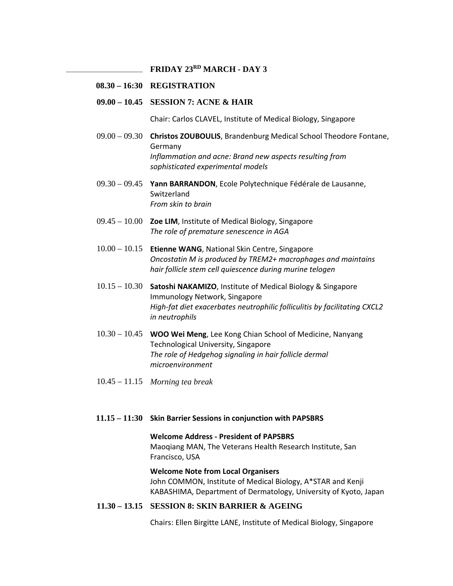**FRIDAY 23RD MARCH - DAY 3** 

## **08.30 – 16:30 REGISTRATION**

#### **09.00 – 10.45 SESSION 7: ACNE & HAIR**

Chair: Carlos CLAVEL, Institute of Medical Biology, Singapore

- 09.00 09.30 **Christos ZOUBOULIS**, Brandenburg Medical School Theodore Fontane, Germany *Inflammation and acne: Brand new aspects resulting from sophisticated experimental models*
- 09.30 09.45 **Yann BARRANDON**, Ecole Polytechnique Fédérale de Lausanne, Switzerland *From skin to brain*
- 09.45 10.00 **Zoe LIM**, Institute of Medical Biology, Singapore *The role of premature senescence in AGA*
- 10.00 10.15 **Etienne WANG**, National Skin Centre, Singapore *Oncostatin M is produced by TREM2+ macrophages and maintains hair follicle stem cell quiescence during murine telogen*
- 10.15 10.30 **Satoshi NAKAMIZO**, Institute of Medical Biology & Singapore Immunology Network, Singapore *High‐fat diet exacerbates neutrophilic folliculitis by facilitating CXCL2 in neutrophils*
- 10.30 10.45 **WOO Wei Meng**, Lee Kong Chian School of Medicine, Nanyang Technological University, Singapore *The role of Hedgehog signaling in hair follicle dermal microenvironment*
- 10.45 11.15 *Morning tea break*

#### **11.15 – 11:30 Skin Barrier Sessions in conjunction with PAPSBRS**

**Welcome Address ‐ President of PAPSBRS** Maoqiang MAN, The Veterans Health Research Institute, San Francisco, USA

#### **Welcome Note from Local Organisers**

John COMMON, Institute of Medical Biology, A\*STAR and Kenji KABASHIMA, Department of Dermatology, University of Kyoto, Japan

### **11.30 – 13.15 SESSION 8: SKIN BARRIER & AGEING**

Chairs: Ellen Birgitte LANE, Institute of Medical Biology, Singapore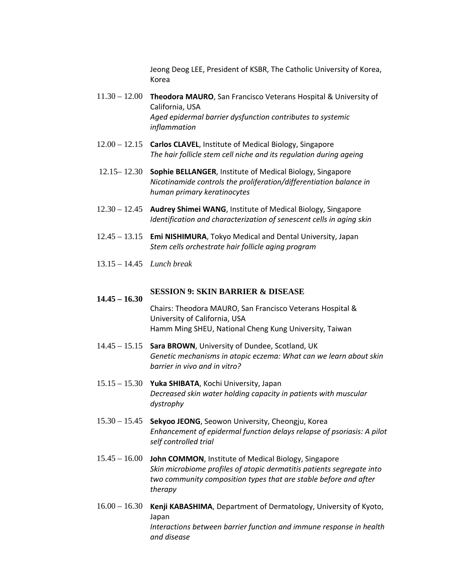Jeong Deog LEE, President of KSBR, The Catholic University of Korea, Korea

- 11.30 12.00 **Theodora MAURO**, San Francisco Veterans Hospital & University of California, USA *Aged epidermal barrier dysfunction contributes to systemic inflammation*
- 12.00 12.15 **Carlos CLAVEL**, Institute of Medical Biology, Singapore *The hair follicle stem cell niche and its regulation during ageing*
- 12.15– 12.30 **Sophie BELLANGER**, Institute of Medical Biology, Singapore *Nicotinamide controls the proliferation/differentiation balance in human primary keratinocytes*
- 12.30 12.45 **Audrey Shimei WANG**, Institute of Medical Biology, Singapore *Identification and characterization of senescent cells in aging skin*
- 12.45 13.15 **Emi NISHIMURA**, Tokyo Medical and Dental University, Japan *Stem cells orchestrate hair follicle aging program*
- 13.15 14.45 *Lunch break*

**14.45 – 16.30**

#### **SESSION 9: SKIN BARRIER & DISEASE**

## Chairs: Theodora MAURO, San Francisco Veterans Hospital & University of California, USA Hamm Ming SHEU, National Cheng Kung University, Taiwan

- 14.45 15.15 **Sara BROWN**, University of Dundee, Scotland, UK *Genetic mechanisms in atopic eczema: What can we learn about skin barrier in vivo and in vitro?*
- 15.15 15.30 **Yuka SHIBATA**, Kochi University, Japan *Decreased skin water holding capacity in patients with muscular dystrophy*
- 15.30 15.45 **Sekyoo JEONG**, Seowon University, Cheongju, Korea *Enhancement of epidermal function delays relapse of psoriasis: A pilot self controlled trial*
- 15.45 16.00 **John COMMON**, Institute of Medical Biology, Singapore *Skin microbiome profiles of atopic dermatitis patients segregate into two community composition types that are stable before and after therapy*
- 16.00 16.30 **Kenji KABASHIMA**, Department of Dermatology, University of Kyoto, Japan *Interactions between barrier function and immune response in health and disease*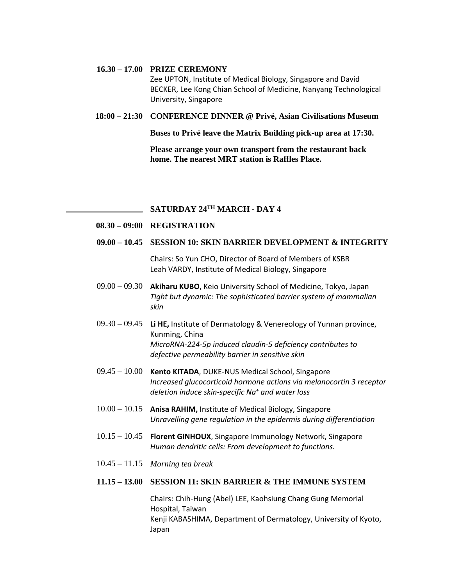#### **16.30 – 17.00 PRIZE CEREMONY**

Zee UPTON, Institute of Medical Biology, Singapore and David BECKER, Lee Kong Chian School of Medicine, Nanyang Technological University, Singapore

#### **18:00 – 21:30 CONFERENCE DINNER @ Privé, Asian Civilisations Museum**

**Buses to Privé leave the Matrix Building pick-up area at 17:30.** 

**Please arrange your own transport from the restaurant back home. The nearest MRT station is Raffles Place.** 

# **SATURDAY 24TH MARCH - DAY 4**

#### **08.30 – 09:00 REGISTRATION**

### **09.00 – 10.45 SESSION 10: SKIN BARRIER DEVELOPMENT & INTEGRITY**

Chairs: So Yun CHO, Director of Board of Members of KSBR Leah VARDY, Institute of Medical Biology, Singapore

- 09.00 09.30 **Akiharu KUBO**, Keio University School of Medicine, Tokyo, Japan *Tight but dynamic: The sophisticated barrier system of mammalian skin*
- 09.30 09.45 **Li HE,** Institute of Dermatology & Venereology of Yunnan province, Kunming, China *MicroRNA‐224‐5p induced claudin‐5 deficiency contributes to defective permeability barrier in sensitive skin*
- 09.45 10.00 **Kento KITADA**, DUKE‐NUS Medical School, Singapore *Increased glucocorticoid hormone actions via melanocortin 3 receptor deletion induce skin‐specific Na+ and water loss*
- 10.00 10.15 **Anisa RAHIM,** Institute of Medical Biology, Singapore *Unravelling gene regulation in the epidermis during differentiation*
- 10.15 10.45 **Florent GINHOUX**, Singapore Immunology Network, Singapore *Human dendritic cells: From development to functions.*
- 10.45 11.15 *Morning tea break*

#### **11.15 – 13.00 SESSION 11: SKIN BARRIER & THE IMMUNE SYSTEM**

Chairs: Chih‐Hung (Abel) LEE, Kaohsiung Chang Gung Memorial Hospital, Taiwan Kenji KABASHIMA, Department of Dermatology, University of Kyoto, Japan